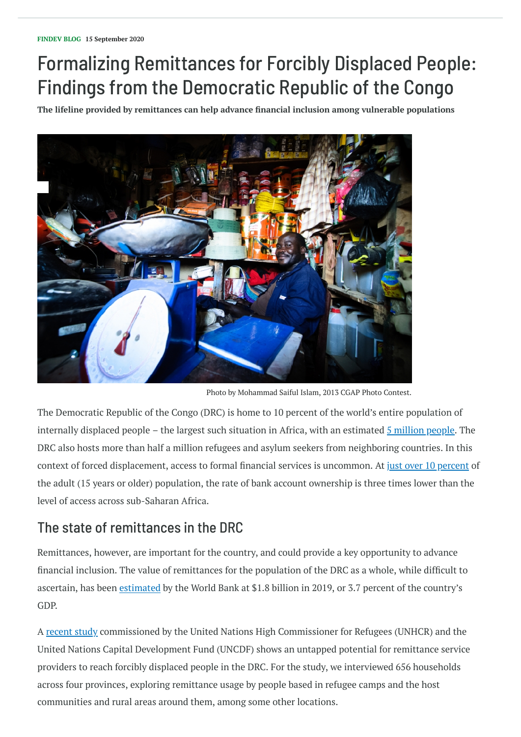# Formalizing Remittances for Forcibly Displaced People: Findings from the Democratic Republic of the Congo

**The lifeline provided by remittances can help advance financial inclusion among vulnerable populations**

The Democratic Republic of the Congo (DRC) is home to 10 percent of the world's entire population of internally displaced people – the largest such situation in Africa, with an estimated  $\frac{5}{5}$  [million](https://www.unhcr.org/5ee200e37.pdf) people. The DRC also hosts more than half a million refugees and asylum seekers from neighboring countries. In this context of forced displacement, access to formal financial services is uncommon. At just over 10 [percent](https://globalfindex.worldbank.org/) of the adult (15 years or older) population, the rate of bank account ownership is three times lower than the level of access across sub-Saharan Africa.

## The state of remittances in the DRC

Remittances, however, are important for the country, and could provide a key opportunity to advance

financial inclusion. The value of remittances for the population of the DRC as a whole, while difficult to ascertain, has been [estimated](http://documents.worldbank.org/curated/en/989721587512418006/pdf/COVID-19-Crisis-Through-a-Migration-Lens.pdf) by the World Bank at \$1.8 billion in 2019, or 3.7 percent of the country's GDP.

A [recent](https://www.uncdf.org/article/6036/country-assessment-for-accessible-and-affordable-remittances-for-forcibly-displaced-persons-democratic-republic-of-the-congo-drc) study commissioned by the United Nations High Commissioner for Refugees (UNHCR) and the United Nations Capital Development Fund (UNCDF) shows an untapped potential for remittance service providers to reach forcibly displaced people in the DRC. For the study, we interviewed 656 households across four provinces, exploring remittance usage by people based in refugee camps and the host communities and rural areas around them, among some other locations.



Photo by Mohammad Saiful Islam, 2013 CGAP Photo Contest.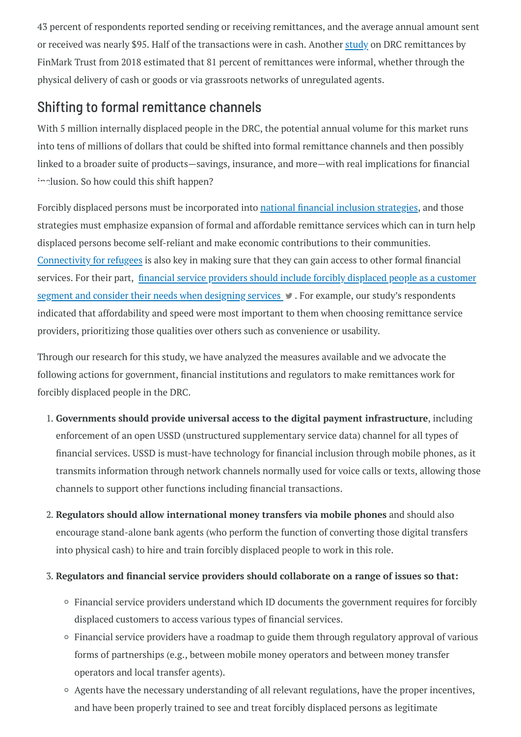43 percent of respondents reported sending or receiving remittances, and the average annual amount sent or received was nearly \$95. Half of the transactions were in cash. Another [study](http://finmark.org.za/is-there-any-hope-of-reducing-informal-cross-border-remittances-or-are-they-really-that-bad) on DRC remittances by FinMark Trust from 2018 estimated that 81 percent of remittances were informal, whether through the physical delivery of cash or goods or via grassroots networks of unregulated agents.

With 5 million internally displaced people in the DRC, the potential annual volume for this market runs into tens of millions of dollars that could be shifted into formal remittance channels and then possibly linked to a broader suite of products—savings, insurance, and more—with real implications for financial inclusion. So how could this shift happen?

### Shifting to formal remittance channels

Forcibly displaced persons must be incorporated into national financial inclusion [strategies,](https://www.afi-global.org/blog/2020/06/can-nfis-reach-forcibly-displaced-persons) and those strategies must emphasize expansion of formal and affordable remittance services which can in turn help displaced persons become self-reliant and make economic contributions to their communities. [Connectivity](https://www.unhcr.org/innovation/connectivity-for-refugees) for refugees is also key in making sure that they can gain access to other formal financial services. For their part, financial service providers should include forcibly displaced people as a customer segment and consider their needs when designing services  $\blacktriangleright$ . For example, our study's [respondents](https://twitter.com/intent/tweet?text=financial+service+providers+should+include+forcibly+displaced+people+as+a+customer+segment+and+consider+their+needs+when+designing+services&url=https://www.findevgateway.org/blog/2020/09/formalizing-remittances-forcibly-displaced-people-findings-democratic-republic-congo/?cid=EXT_WBBlogTweetableShare_D_EXT&via=Findevgateway) indicated that affordability and speed were most important to them when choosing remittance service providers, prioritizing those qualities over others such as convenience or usability.

Through our research for this study, we have analyzed the measures available and we advocate the following actions for government, financial institutions and regulators to make remittances work for forcibly displaced people in the DRC.

- 1. **Governments should provide universal access to the digital payment infrastructure**, including enforcement of an open USSD (unstructured supplementary service data) channel for all types of financial services. USSD is must-have technology for financial inclusion through mobile phones, as it transmits information through network channels normally used for voice calls or texts, allowing those channels to support other functions including financial transactions.
- 2. **Regulators should allow international money transfers via mobile phones** and should also encourage stand-alone bank agents (who perform the function of converting those digital transfers into physical cash) to hire and train forcibly displaced people to work in this role.
- 3. **Regulators and financial service providers should collaborate on a range of issues so that:**
	- Financial service providers understand which ID documents the government requires for forcibly displaced customers to access various types of financial services.
	- Financial service providers have a roadmap to guide them through regulatory approval of various forms of partnerships (e.g., between mobile money operators and between money transfer operators and local transfer agents).
	- Agents have the necessary understanding of all relevant regulations, have the proper incentives, and have been properly trained to see and treat forcibly displaced persons as legitimate